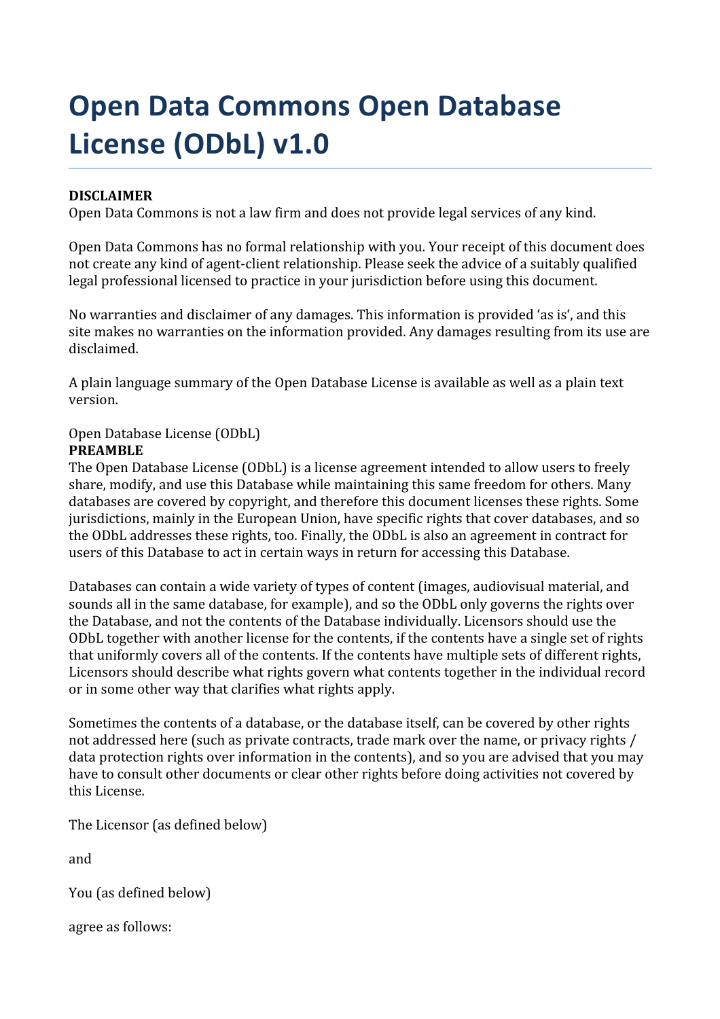# **Open Data Commons Open Database License (ODbL) v1.0**

#### **DISCLAIMER**

Open Data Commons is not a law firm and does not provide legal services of any kind.

Open Data Commons has no formal relationship with you. Your receipt of this document does not create any kind of agent-client relationship. Please seek the advice of a suitably qualified legal professional licensed to practice in your jurisdiction before using this document.

No warranties and disclaimer of any damages. This information is provided 'as is', and this site makes no warranties on the information provided. Any damages resulting from its use are disclaimed.

A plain language summary of the Open Database License is available as well as a plain text version.

#### Open Database License (ODbL) **PREAMBLE**

The Open Database License (ODbL) is a license agreement intended to allow users to freely share, modify, and use this Database while maintaining this same freedom for others. Many databases are covered by copyright, and therefore this document licenses these rights. Some jurisdictions, mainly in the European Union, have specific rights that cover databases, and so the ODbL addresses these rights, too. Finally, the ODbL is also an agreement in contract for users of this Database to act in certain ways in return for accessing this Database.

Databases can contain a wide variety of types of content (images, audiovisual material, and sounds all in the same database, for example), and so the ODbL only governs the rights over the Database, and not the contents of the Database individually. Licensors should use the ODbL together with another license for the contents, if the contents have a single set of rights that uniformly covers all of the contents. If the contents have multiple sets of different rights, Licensors should describe what rights govern what contents together in the individual record or in some other way that clarifies what rights apply.

Sometimes the contents of a database, or the database itself, can be covered by other rights not addressed here (such as private contracts, trade mark over the name, or privacy rights / data protection rights over information in the contents), and so you are advised that you may have to consult other documents or clear other rights before doing activities not covered by this License.

The Licensor (as defined below)

and

You (as defined below)

agree as follows: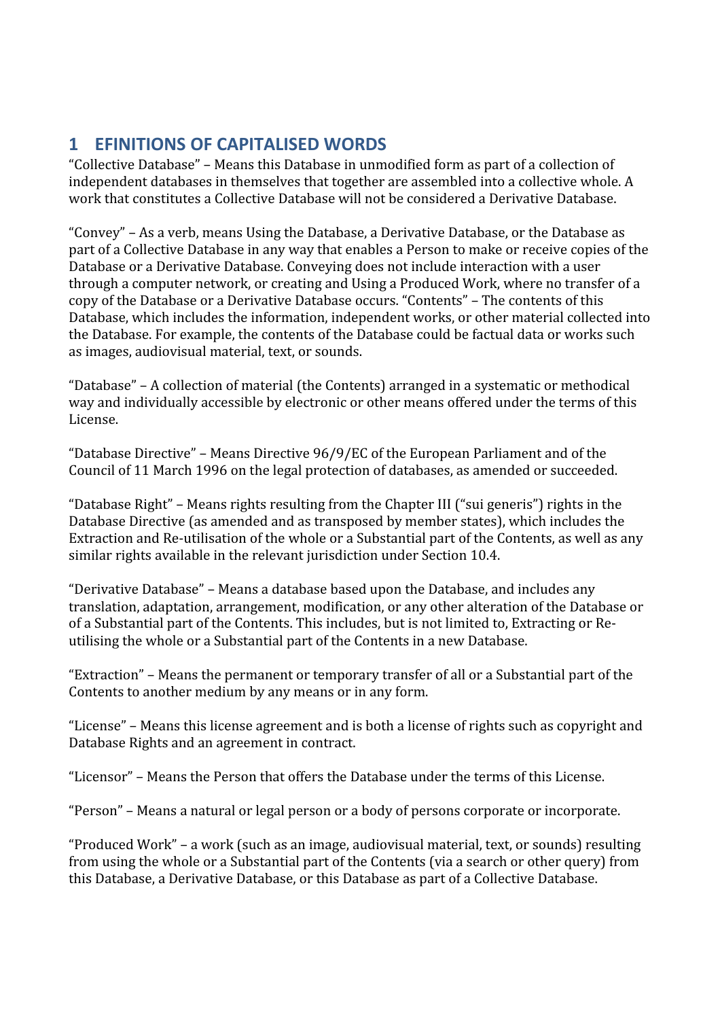# **1 EFINITIONS OF CAPITALISED WORDS**

"Collective Database" – Means this Database in unmodified form as part of a collection of independent databases in themselves that together are assembled into a collective whole. A work that constitutes a Collective Database will not be considered a Derivative Database.

"Convey" – As a verb, means Using the Database, a Derivative Database, or the Database as part of a Collective Database in any way that enables a Person to make or receive copies of the Database or a Derivative Database. Conveying does not include interaction with a user through a computer network, or creating and Using a Produced Work, where no transfer of a copy of the Database or a Derivative Database occurs. "Contents" – The contents of this Database, which includes the information, independent works, or other material collected into the Database. For example, the contents of the Database could be factual data or works such as images, audiovisual material, text, or sounds.

"Database" – A collection of material (the Contents) arranged in a systematic or methodical way and individually accessible by electronic or other means offered under the terms of this License.

"Database Directive" – Means Directive 96/9/EC of the European Parliament and of the Council of 11 March 1996 on the legal protection of databases, as amended or succeeded.

"Database Right" – Means rights resulting from the Chapter III ("sui generis") rights in the Database Directive (as amended and as transposed by member states), which includes the Extraction and Re-utilisation of the whole or a Substantial part of the Contents, as well as any similar rights available in the relevant jurisdiction under Section 10.4.

"Derivative Database" – Means a database based upon the Database, and includes any translation, adaptation, arrangement, modification, or any other alteration of the Database or of a Substantial part of the Contents. This includes, but is not limited to, Extracting or Reutilising the whole or a Substantial part of the Contents in a new Database.

"Extraction" – Means the permanent or temporary transfer of all or a Substantial part of the Contents to another medium by any means or in any form.

"License" – Means this license agreement and is both a license of rights such as copyright and Database Rights and an agreement in contract.

"Licensor" – Means the Person that offers the Database under the terms of this License.

"Person" – Means a natural or legal person or a body of persons corporate or incorporate.

"Produced Work" – a work (such as an image, audiovisual material, text, or sounds) resulting from using the whole or a Substantial part of the Contents (via a search or other query) from this Database, a Derivative Database, or this Database as part of a Collective Database.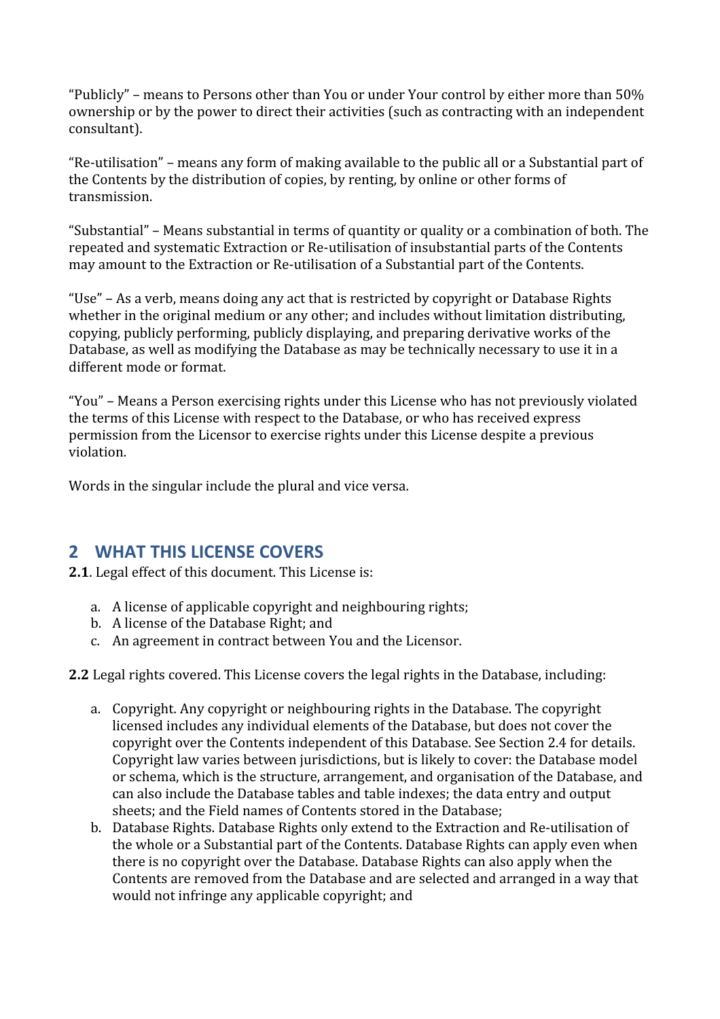"Publicly" – means to Persons other than You or under Your control by either more than 50% ownership or by the power to direct their activities (such as contracting with an independent consultant).

"Re-utilisation" – means any form of making available to the public all or a Substantial part of the Contents by the distribution of copies, by renting, by online or other forms of transmission.

"Substantial" – Means substantial in terms of quantity or quality or a combination of both. The repeated and systematic Extraction or Re-utilisation of insubstantial parts of the Contents may amount to the Extraction or Re-utilisation of a Substantial part of the Contents.

"Use" – As a verb, means doing any act that is restricted by copyright or Database Rights whether in the original medium or any other; and includes without limitation distributing, copying, publicly performing, publicly displaying, and preparing derivative works of the Database, as well as modifying the Database as may be technically necessary to use it in a different mode or format.

"You" – Means a Person exercising rights under this License who has not previously violated the terms of this License with respect to the Database, or who has received express permission from the Licensor to exercise rights under this License despite a previous violation.

Words in the singular include the plural and vice versa.

#### **2 WHAT THIS LICENSE COVERS**

**2.1**. Legal effect of this document. This License is:

- a. A license of applicable copyright and neighbouring rights;
- b. A license of the Database Right; and
- c. An agreement in contract between You and the Licensor.

**2.2** Legal rights covered. This License covers the legal rights in the Database, including:

- a. Copyright. Any copyright or neighbouring rights in the Database. The copyright licensed includes any individual elements of the Database, but does not cover the copyright over the Contents independent of this Database. See Section 2.4 for details. Copyright law varies between jurisdictions, but is likely to cover: the Database model or schema, which is the structure, arrangement, and organisation of the Database, and can also include the Database tables and table indexes; the data entry and output sheets; and the Field names of Contents stored in the Database;
- b. Database Rights. Database Rights only extend to the Extraction and Re-utilisation of the whole or a Substantial part of the Contents. Database Rights can apply even when there is no copyright over the Database. Database Rights can also apply when the Contents are removed from the Database and are selected and arranged in a way that would not infringe any applicable copyright; and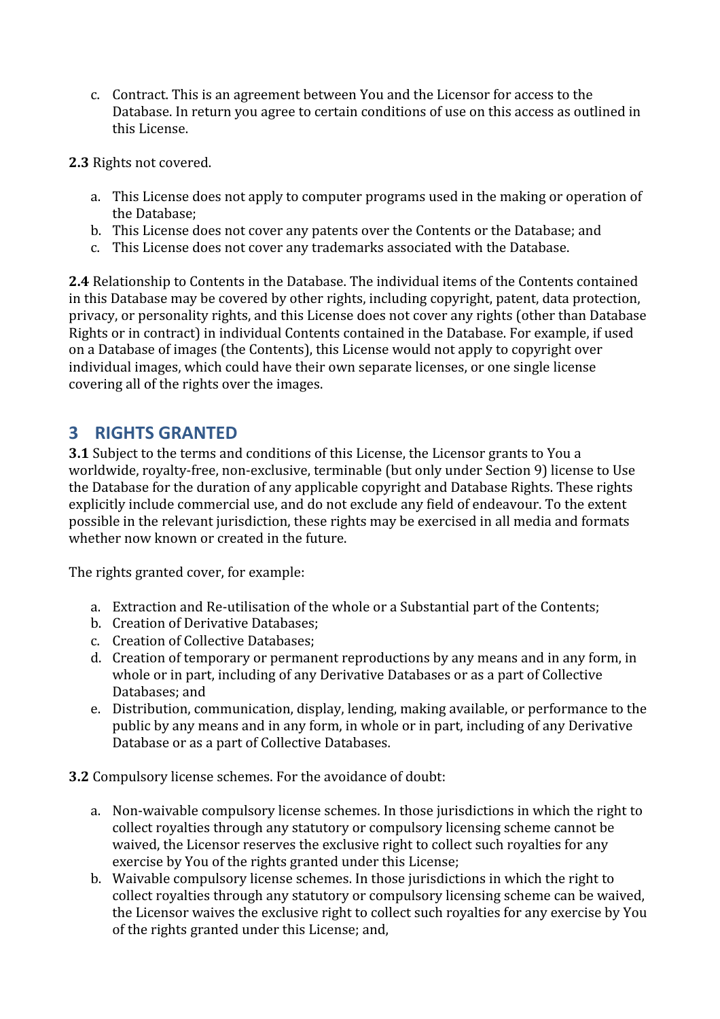- c. Contract. This is an agreement between You and the Licensor for access to the Database. In return you agree to certain conditions of use on this access as outlined in this License.
- **2.3** Rights not covered.
	- a. This License does not apply to computer programs used in the making or operation of the Database;
	- b. This License does not cover any patents over the Contents or the Database; and
	- c. This License does not cover any trademarks associated with the Database.

**2.4** Relationship to Contents in the Database. The individual items of the Contents contained in this Database may be covered by other rights, including copyright, patent, data protection, privacy, or personality rights, and this License does not cover any rights (other than Database Rights or in contract) in individual Contents contained in the Database. For example, if used on a Database of images (the Contents), this License would not apply to copyright over individual images, which could have their own separate licenses, or one single license covering all of the rights over the images.

#### **3 RIGHTS GRANTED**

**3.1** Subject to the terms and conditions of this License, the Licensor grants to You a worldwide, royalty-free, non-exclusive, terminable (but only under Section 9) license to Use the Database for the duration of any applicable copyright and Database Rights. These rights explicitly include commercial use, and do not exclude any field of endeavour. To the extent possible in the relevant jurisdiction, these rights may be exercised in all media and formats whether now known or created in the future.

The rights granted cover, for example:

- a. Extraction and Re-utilisation of the whole or a Substantial part of the Contents;
- b. Creation of Derivative Databases;
- c. Creation of Collective Databases;
- d. Creation of temporary or permanent reproductions by any means and in any form, in whole or in part, including of any Derivative Databases or as a part of Collective Databases; and
- e. Distribution, communication, display, lending, making available, or performance to the public by any means and in any form, in whole or in part, including of any Derivative Database or as a part of Collective Databases.
- **3.2** Compulsory license schemes. For the avoidance of doubt:
	- a. Non-waivable compulsory license schemes. In those jurisdictions in which the right to collect royalties through any statutory or compulsory licensing scheme cannot be waived, the Licensor reserves the exclusive right to collect such royalties for any exercise by You of the rights granted under this License;
	- b. Waivable compulsory license schemes. In those jurisdictions in which the right to collect royalties through any statutory or compulsory licensing scheme can be waived, the Licensor waives the exclusive right to collect such royalties for any exercise by You of the rights granted under this License; and,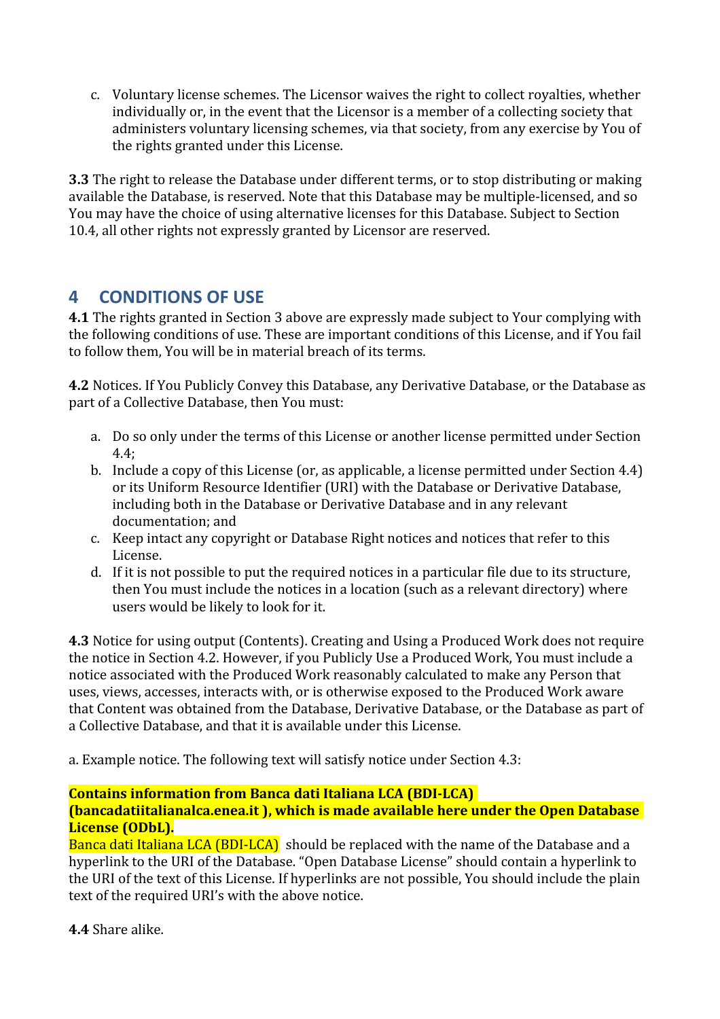c. Voluntary license schemes. The Licensor waives the right to collect royalties, whether individually or, in the event that the Licensor is a member of a collecting society that administers voluntary licensing schemes, via that society, from any exercise by You of the rights granted under this License.

**3.3** The right to release the Database under different terms, or to stop distributing or making available the Database, is reserved. Note that this Database may be multiple-licensed, and so You may have the choice of using alternative licenses for this Database. Subject to Section 10.4, all other rights not expressly granted by Licensor are reserved.

#### **4 CONDITIONS OF USE**

**4.1** The rights granted in Section 3 above are expressly made subject to Your complying with the following conditions of use. These are important conditions of this License, and if You fail to follow them, You will be in material breach of its terms.

**4.2** Notices. If You Publicly Convey this Database, any Derivative Database, or the Database as part of a Collective Database, then You must:

- a. Do so only under the terms of this License or another license permitted under Section 4.4;
- b. Include a copy of this License (or, as applicable, a license permitted under Section 4.4) or its Uniform Resource Identifier (URI) with the Database or Derivative Database, including both in the Database or Derivative Database and in any relevant documentation; and
- c. Keep intact any copyright or Database Right notices and notices that refer to this License.
- d. If it is not possible to put the required notices in a particular file due to its structure, then You must include the notices in a location (such as a relevant directory) where users would be likely to look for it.

**4.3** Notice for using output (Contents). Creating and Using a Produced Work does not require the notice in Section 4.2. However, if you Publicly Use a Produced Work, You must include a notice associated with the Produced Work reasonably calculated to make any Person that uses, views, accesses, interacts with, or is otherwise exposed to the Produced Work aware that Content was obtained from the Database, Derivative Database, or the Database as part of a Collective Database, and that it is available under this License.

a. Example notice. The following text will satisfy notice under Section 4.3:

**Contains information from Banca dati Italiana LCA (BDI-LCA)** 

**(bancadatiitalianalca.enea.it ), which is made available here under the Open Database License (ODbL).**

Banca dati Italiana LCA (BDI-LCA) should be replaced with the name of the Database and a hyperlink to the URI of the Database. "Open Database License" should contain a hyperlink to the URI of the text of this License. If hyperlinks are not possible, You should include the plain text of the required URI's with the above notice.

**4.4** Share alike.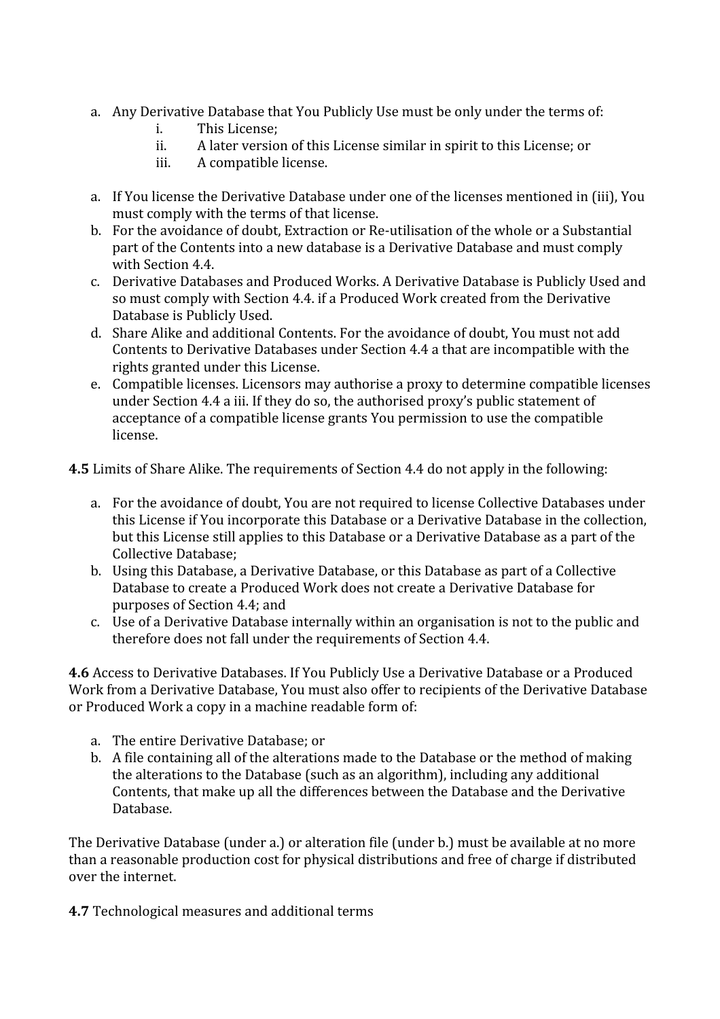- a. Any Derivative Database that You Publicly Use must be only under the terms of:
	- i. This License;
	- ii. A later version of this License similar in spirit to this License; or
	- iii. A compatible license.
- a. If You license the Derivative Database under one of the licenses mentioned in (iii), You must comply with the terms of that license.
- b. For the avoidance of doubt, Extraction or Re-utilisation of the whole or a Substantial part of the Contents into a new database is a Derivative Database and must comply with Section 4.4.
- c. Derivative Databases and Produced Works. A Derivative Database is Publicly Used and so must comply with Section 4.4. if a Produced Work created from the Derivative Database is Publicly Used.
- d. Share Alike and additional Contents. For the avoidance of doubt, You must not add Contents to Derivative Databases under Section 4.4 a that are incompatible with the rights granted under this License.
- e. Compatible licenses. Licensors may authorise a proxy to determine compatible licenses under Section 4.4 a iii. If they do so, the authorised proxy's public statement of acceptance of a compatible license grants You permission to use the compatible license.

**4.5** Limits of Share Alike. The requirements of Section 4.4 do not apply in the following:

- a. For the avoidance of doubt, You are not required to license Collective Databases under this License if You incorporate this Database or a Derivative Database in the collection, but this License still applies to this Database or a Derivative Database as a part of the Collective Database;
- b. Using this Database, a Derivative Database, or this Database as part of a Collective Database to create a Produced Work does not create a Derivative Database for purposes of Section 4.4; and
- c. Use of a Derivative Database internally within an organisation is not to the public and therefore does not fall under the requirements of Section 4.4.

**4.6** Access to Derivative Databases. If You Publicly Use a Derivative Database or a Produced Work from a Derivative Database, You must also offer to recipients of the Derivative Database or Produced Work a copy in a machine readable form of:

- a. The entire Derivative Database; or
- b. A file containing all of the alterations made to the Database or the method of making the alterations to the Database (such as an algorithm), including any additional Contents, that make up all the differences between the Database and the Derivative Database.

The Derivative Database (under a.) or alteration file (under b.) must be available at no more than a reasonable production cost for physical distributions and free of charge if distributed over the internet.

**4.7** Technological measures and additional terms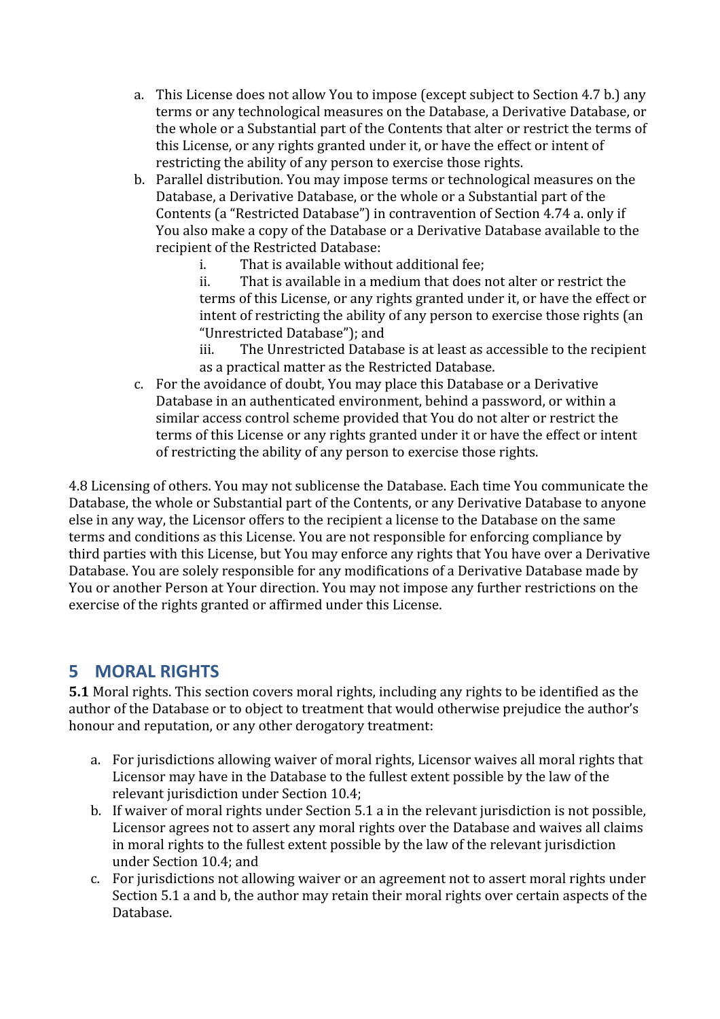- a. This License does not allow You to impose (except subject to Section 4.7 b.) any terms or any technological measures on the Database, a Derivative Database, or the whole or a Substantial part of the Contents that alter or restrict the terms of this License, or any rights granted under it, or have the effect or intent of restricting the ability of any person to exercise those rights.
- b. Parallel distribution. You may impose terms or technological measures on the Database, a Derivative Database, or the whole or a Substantial part of the Contents (a "Restricted Database") in contravention of Section 4.74 a. only if You also make a copy of the Database or a Derivative Database available to the recipient of the Restricted Database:
	- i. That is available without additional fee;

ii. That is available in a medium that does not alter or restrict the terms of this License, or any rights granted under it, or have the effect or intent of restricting the ability of any person to exercise those rights (an "Unrestricted Database"); and

- iii. The Unrestricted Database is at least as accessible to the recipient as a practical matter as the Restricted Database.
- c. For the avoidance of doubt, You may place this Database or a Derivative Database in an authenticated environment, behind a password, or within a similar access control scheme provided that You do not alter or restrict the terms of this License or any rights granted under it or have the effect or intent of restricting the ability of any person to exercise those rights.

4.8 Licensing of others. You may not sublicense the Database. Each time You communicate the Database, the whole or Substantial part of the Contents, or any Derivative Database to anyone else in any way, the Licensor offers to the recipient a license to the Database on the same terms and conditions as this License. You are not responsible for enforcing compliance by third parties with this License, but You may enforce any rights that You have over a Derivative Database. You are solely responsible for any modifications of a Derivative Database made by You or another Person at Your direction. You may not impose any further restrictions on the exercise of the rights granted or affirmed under this License.

### **5 MORAL RIGHTS**

**5.1** Moral rights. This section covers moral rights, including any rights to be identified as the author of the Database or to object to treatment that would otherwise prejudice the author's honour and reputation, or any other derogatory treatment:

- a. For jurisdictions allowing waiver of moral rights, Licensor waives all moral rights that Licensor may have in the Database to the fullest extent possible by the law of the relevant jurisdiction under Section 10.4;
- b. If waiver of moral rights under Section 5.1 a in the relevant jurisdiction is not possible, Licensor agrees not to assert any moral rights over the Database and waives all claims in moral rights to the fullest extent possible by the law of the relevant jurisdiction under Section 10.4; and
- c. For jurisdictions not allowing waiver or an agreement not to assert moral rights under Section 5.1 a and b, the author may retain their moral rights over certain aspects of the Database.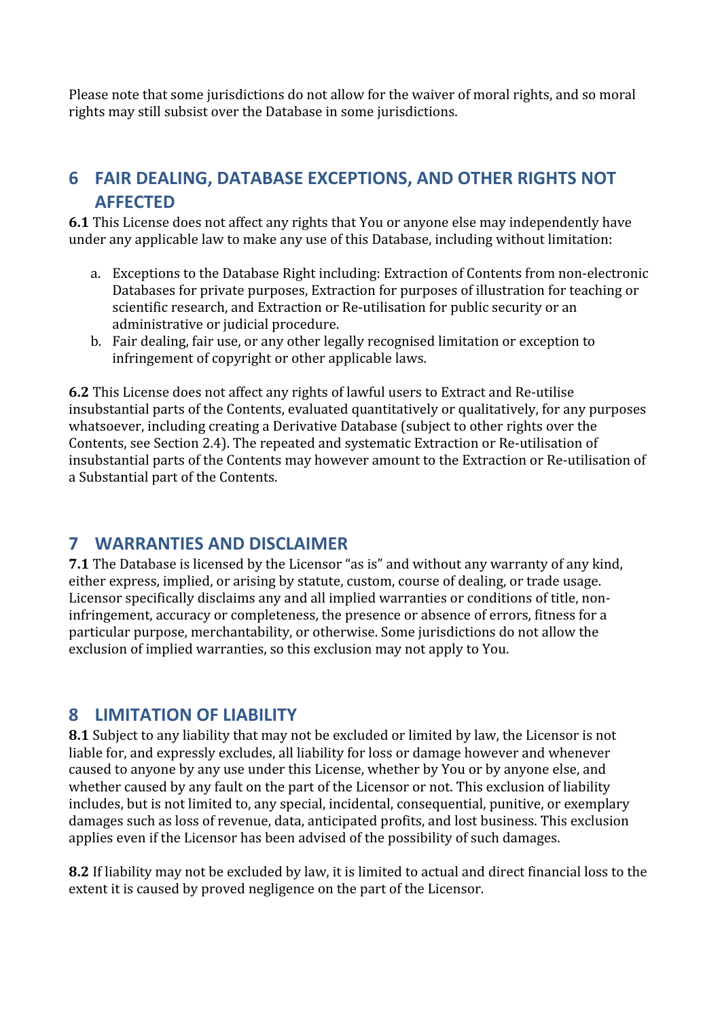Please note that some jurisdictions do not allow for the waiver of moral rights, and so moral rights may still subsist over the Database in some jurisdictions.

# **6 FAIR DEALING, DATABASE EXCEPTIONS, AND OTHER RIGHTS NOT AFFECTED**

**6.1** This License does not affect any rights that You or anyone else may independently have under any applicable law to make any use of this Database, including without limitation:

- a. Exceptions to the Database Right including: Extraction of Contents from non-electronic Databases for private purposes, Extraction for purposes of illustration for teaching or scientific research, and Extraction or Re-utilisation for public security or an administrative or judicial procedure.
- b. Fair dealing, fair use, or any other legally recognised limitation or exception to infringement of copyright or other applicable laws.

**6.2** This License does not affect any rights of lawful users to Extract and Re-utilise insubstantial parts of the Contents, evaluated quantitatively or qualitatively, for any purposes whatsoever, including creating a Derivative Database (subject to other rights over the Contents, see Section 2.4). The repeated and systematic Extraction or Re-utilisation of insubstantial parts of the Contents may however amount to the Extraction or Re-utilisation of a Substantial part of the Contents.

#### **7 WARRANTIES AND DISCLAIMER**

**7.1** The Database is licensed by the Licensor "as is" and without any warranty of any kind, either express, implied, or arising by statute, custom, course of dealing, or trade usage. Licensor specifically disclaims any and all implied warranties or conditions of title, noninfringement, accuracy or completeness, the presence or absence of errors, fitness for a particular purpose, merchantability, or otherwise. Some jurisdictions do not allow the exclusion of implied warranties, so this exclusion may not apply to You.

#### **8 LIMITATION OF LIABILITY**

**8.1** Subject to any liability that may not be excluded or limited by law, the Licensor is not liable for, and expressly excludes, all liability for loss or damage however and whenever caused to anyone by any use under this License, whether by You or by anyone else, and whether caused by any fault on the part of the Licensor or not. This exclusion of liability includes, but is not limited to, any special, incidental, consequential, punitive, or exemplary damages such as loss of revenue, data, anticipated profits, and lost business. This exclusion applies even if the Licensor has been advised of the possibility of such damages.

**8.2** If liability may not be excluded by law, it is limited to actual and direct financial loss to the extent it is caused by proved negligence on the part of the Licensor.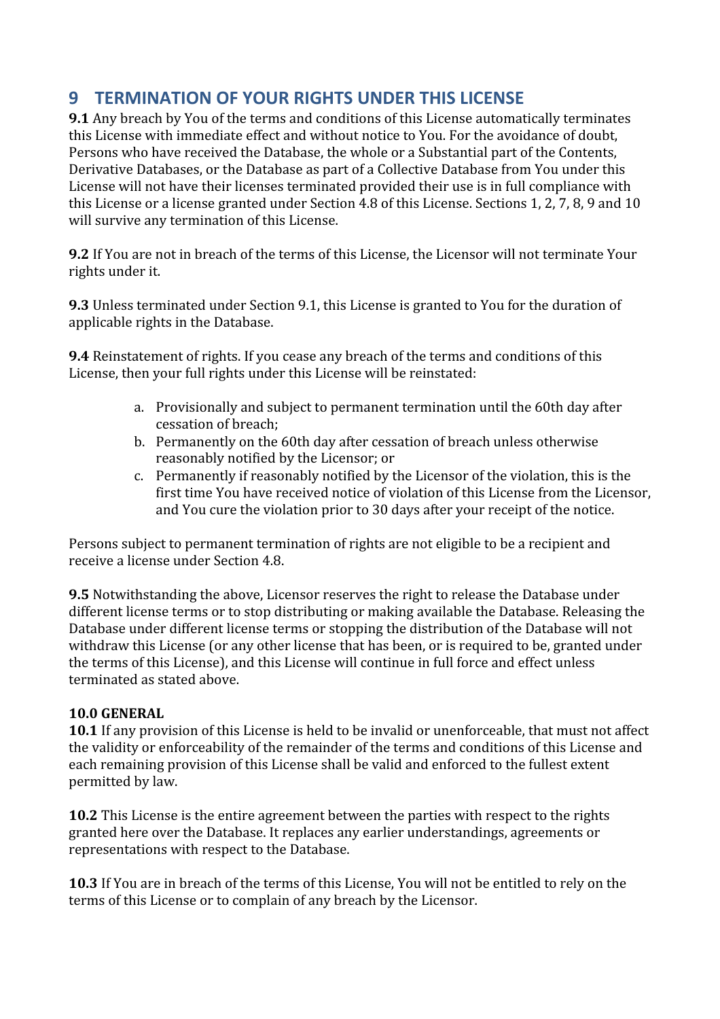# **9 TERMINATION OF YOUR RIGHTS UNDER THIS LICENSE**

**9.1** Any breach by You of the terms and conditions of this License automatically terminates this License with immediate effect and without notice to You. For the avoidance of doubt, Persons who have received the Database, the whole or a Substantial part of the Contents, Derivative Databases, or the Database as part of a Collective Database from You under this License will not have their licenses terminated provided their use is in full compliance with this License or a license granted under Section 4.8 of this License. Sections 1, 2, 7, 8, 9 and 10 will survive any termination of this License.

**9.2** If You are not in breach of the terms of this License, the Licensor will not terminate Your rights under it.

**9.3** Unless terminated under Section 9.1, this License is granted to You for the duration of applicable rights in the Database.

**9.4** Reinstatement of rights. If you cease any breach of the terms and conditions of this License, then your full rights under this License will be reinstated:

- a. Provisionally and subject to permanent termination until the 60th day after cessation of breach;
- b. Permanently on the 60th day after cessation of breach unless otherwise reasonably notified by the Licensor; or
- c. Permanently if reasonably notified by the Licensor of the violation, this is the first time You have received notice of violation of this License from the Licensor, and You cure the violation prior to 30 days after your receipt of the notice.

Persons subject to permanent termination of rights are not eligible to be a recipient and receive a license under Section 4.8.

**9.5** Notwithstanding the above, Licensor reserves the right to release the Database under different license terms or to stop distributing or making available the Database. Releasing the Database under different license terms or stopping the distribution of the Database will not withdraw this License (or any other license that has been, or is required to be, granted under the terms of this License), and this License will continue in full force and effect unless terminated as stated above.

#### **10.0 GENERAL**

**10.1** If any provision of this License is held to be invalid or unenforceable, that must not affect the validity or enforceability of the remainder of the terms and conditions of this License and each remaining provision of this License shall be valid and enforced to the fullest extent permitted by law.

**10.2** This License is the entire agreement between the parties with respect to the rights granted here over the Database. It replaces any earlier understandings, agreements or representations with respect to the Database.

**10.3** If You are in breach of the terms of this License, You will not be entitled to rely on the terms of this License or to complain of any breach by the Licensor.